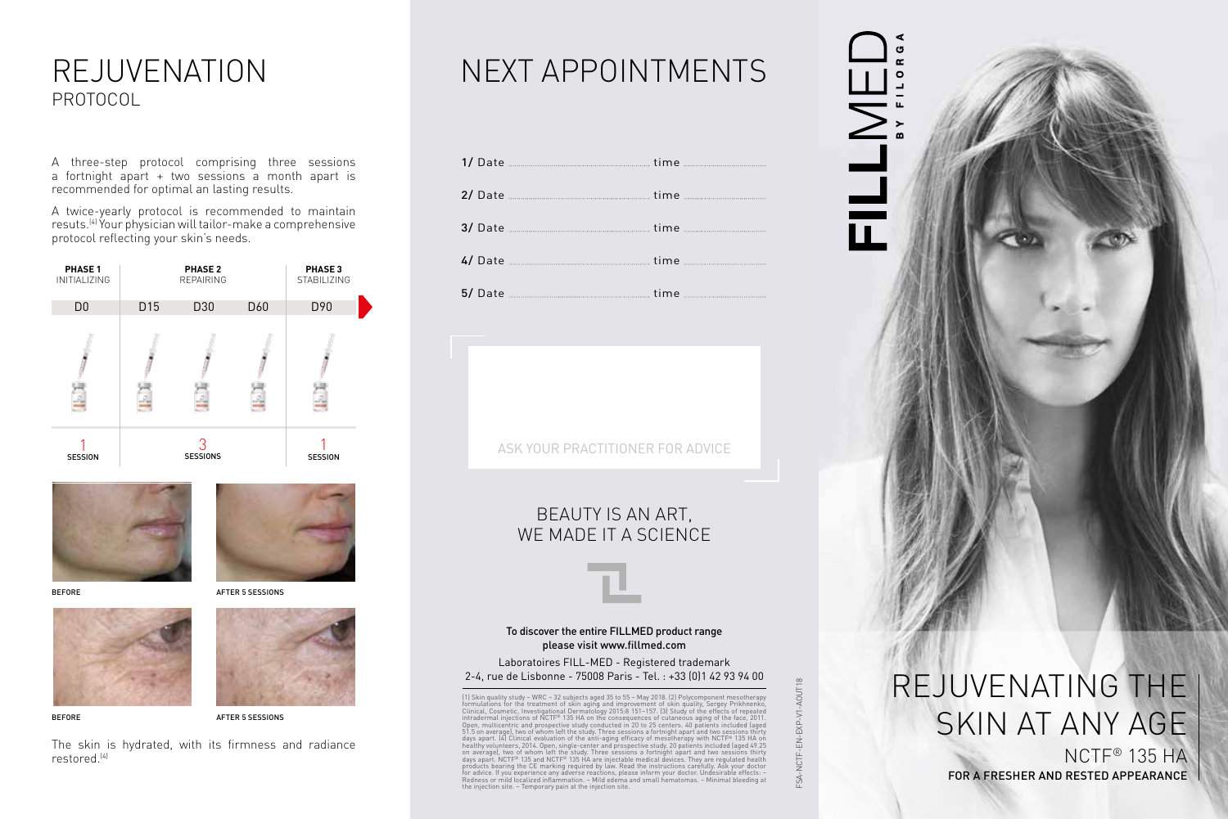## REJUVENATION PROTOCOL

A three-step protocol comprising three sessions a fortnight apart + two sessions a month apart is recommended for optimal an lasting results.

A twice-yearly protocol is recommended to maintain resuts.(4) Your physician will tailor-make a comprehensive protocol reflecting your skin's needs.







BEFORE





BEFORE

AFTER 5 SESSIONS

The skin is hydrated, with its firmness and radiance restored.(4)

# NEXT APPOINTMENTS

| 2/ Date <u>___________________________________</u> time _______________________________ |  |
|-----------------------------------------------------------------------------------------|--|
|                                                                                         |  |
|                                                                                         |  |
|                                                                                         |  |

### BEAUTY IS AN ART, WE MADE IT A SCIENCE

#### To discover the entire FILLMED product range please visit www.fillmed.com

Laboratoires FILL-MED - Registered trademark 2-4, rue de Lisbonne - 75008 Paris - Tel. : +33 (0)1 42 93 94 00

(1) Skin quality study – WRC – 32 subjects aged 35 to 55 – May 2018. (2) Polycomponent mesotherapy<br>formulations for the treatment of skin aging and improvement of skin quality, Sergey Prikhnenko,<br>Clinical, Cosmetic, Invest intradermal injections of NCTF® 135 HA on the consequences of cutaneous aging of the face, 2011.<br>Open, multicentric and prospective study conducted in 20 to 25 centers. 40 patients included [aged<br>51.5 on average], two of w for advice. If you experience any adverse reactions, please inform your doctor. Undesirable effects: – Redness or mild localized inflammation. – Mild edema and small hematomas. – Minimal bleeding at the injection site. – Temporary pain at the injection site.

 $\overline{\mathbf{H}}$ 



FOR A FRESHER AND RESTED APPEARANCE